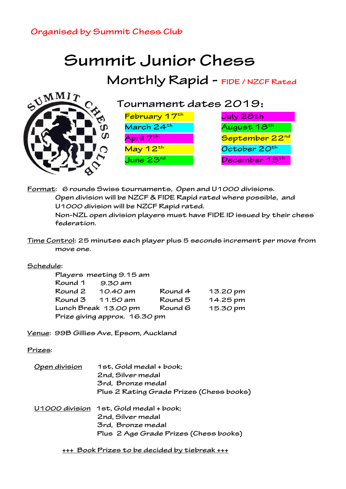## **Organised by Summit Chess Club**

## **Summit Junior Chess Monthly Rapid - FIDE / NZCF Rated**



**Tournament dates 2019**:

| February 17th         | July 28th                  |
|-----------------------|----------------------------|
| March 24th            | August 18th                |
| April 7th'            | September 22 <sup>nd</sup> |
| May 12 <sup>th</sup>  | October 20 <sup>th</sup>   |
| June $23^{\text{rd}}$ | December 15th              |

**Format: 6 rounds Swiss tournaments, Open and U1000 divisions. Open division will be NZCF & FIDE Rapid rated where possible, and U1000 division will be NZCF Rapid rated.**

**Non-NZL open division players must have FIDE ID issued by their chess federation.**

**Time Control: 25 minutes each player plus 5 seconds increment per move from move one.**

## **Schedule:**

|                                 | Players meeting 9.15 am       |          |                  |  |
|---------------------------------|-------------------------------|----------|------------------|--|
|                                 | Round 1 9.30 am               |          |                  |  |
|                                 | Round 2 10.40 am              | Round 4  | 13.2 <i>0</i> pm |  |
|                                 | Round 3 11.50 am              | Round 5  | 14.25 pm         |  |
| Lunch Break 13.00 pm<br>Round 6 |                               | 15.30 pm |                  |  |
|                                 | Prize giving approx. 16.30 pm |          |                  |  |

**Venue: 99B Gillies Ave, Epsom, Auckland**

**Prizes:**

| Open division | 1st, Gold medal + book;                  |
|---------------|------------------------------------------|
|               | 2nd, Silver medal                        |
|               | 3rd, Bronze medal                        |
|               | Plus 2 Rating Grade Prizes (Chess books) |
|               | U1000 division 1st, Gold medal + book;   |
|               | 2nd, Silver medal                        |
|               | 3rd, Bronze medal                        |
|               | Plus 2 Age Grade Prizes (Chess books)    |
|               |                                          |

**+++ Book Prizes to be decided by tiebreak +++**